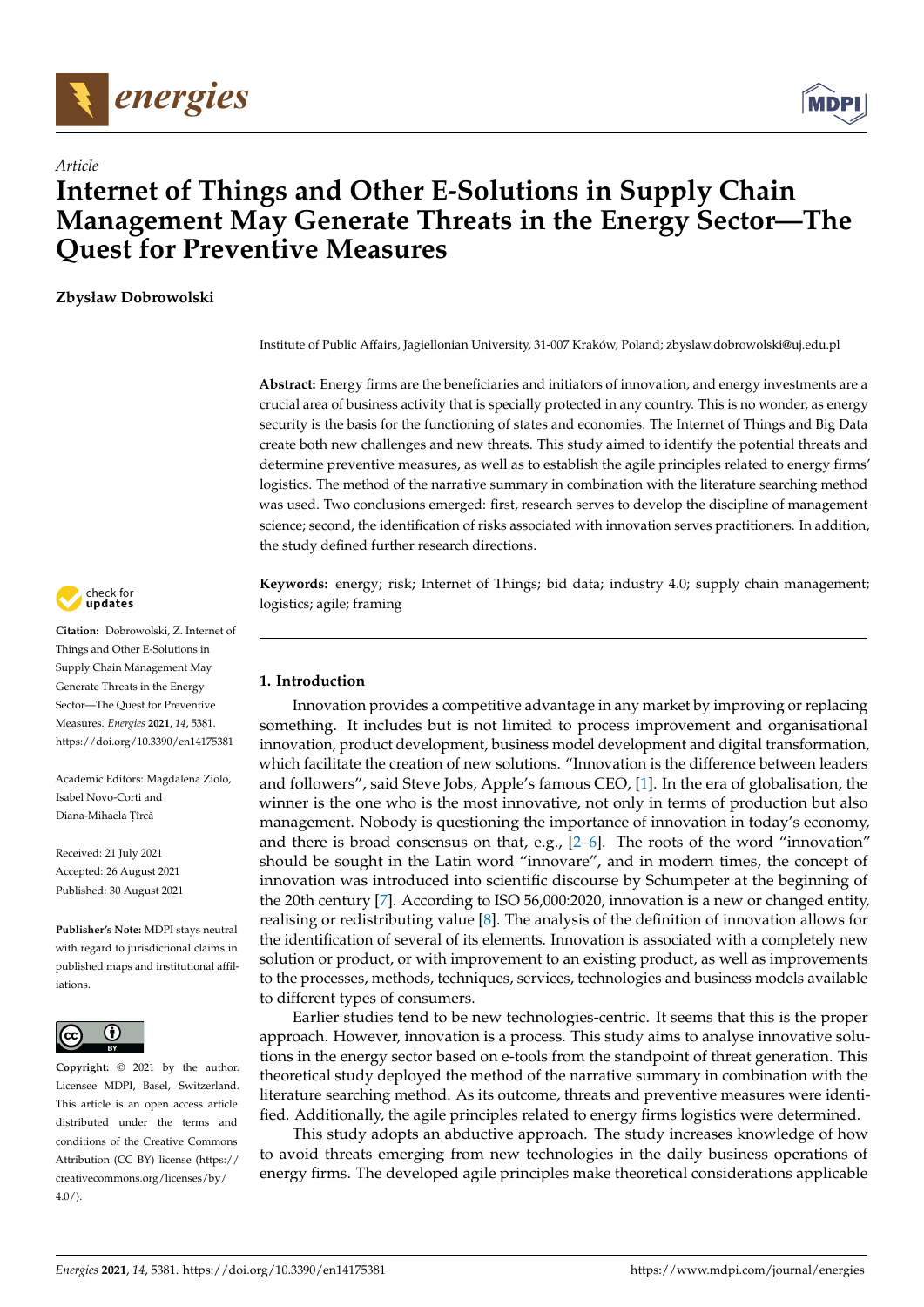



# *Article* **Internet of Things and Other E-Solutions in Supply Chain Management May Generate Threats in the Energy Sector—The Quest for Preventive Measures**

**Zbysław Dobrowolski**

Institute of Public Affairs, Jagiellonian University, 31-007 Kraków, Poland; zbyslaw.dobrowolski@uj.edu.pl

**Abstract:** Energy firms are the beneficiaries and initiators of innovation, and energy investments are a crucial area of business activity that is specially protected in any country. This is no wonder, as energy security is the basis for the functioning of states and economies. The Internet of Things and Big Data create both new challenges and new threats. This study aimed to identify the potential threats and determine preventive measures, as well as to establish the agile principles related to energy firms' logistics. The method of the narrative summary in combination with the literature searching method was used. Two conclusions emerged: first, research serves to develop the discipline of management science; second, the identification of risks associated with innovation serves practitioners. In addition, the study defined further research directions.

**Keywords:** energy; risk; Internet of Things; bid data; industry 4.0; supply chain management; logistics; agile; framing

# **1. Introduction**

Innovation provides a competitive advantage in any market by improving or replacing something. It includes but is not limited to process improvement and organisational innovation, product development, business model development and digital transformation, which facilitate the creation of new solutions. "Innovation is the difference between leaders and followers", said Steve Jobs, Apple's famous CEO, [\[1\]](#page-7-0). In the era of globalisation, the winner is the one who is the most innovative, not only in terms of production but also management. Nobody is questioning the importance of innovation in today's economy, and there is broad consensus on that, e.g., [\[2–](#page-7-1)[6\]](#page-7-2). The roots of the word "innovation" should be sought in the Latin word "innovare", and in modern times, the concept of innovation was introduced into scientific discourse by Schumpeter at the beginning of the 20th century [\[7\]](#page-7-3). According to ISO 56,000:2020, innovation is a new or changed entity, realising or redistributing value [\[8\]](#page-7-4). The analysis of the definition of innovation allows for the identification of several of its elements. Innovation is associated with a completely new solution or product, or with improvement to an existing product, as well as improvements to the processes, methods, techniques, services, technologies and business models available to different types of consumers.

Earlier studies tend to be new technologies-centric. It seems that this is the proper approach. However, innovation is a process. This study aims to analyse innovative solutions in the energy sector based on e-tools from the standpoint of threat generation. This theoretical study deployed the method of the narrative summary in combination with the literature searching method. As its outcome, threats and preventive measures were identified. Additionally, the agile principles related to energy firms logistics were determined.

This study adopts an abductive approach. The study increases knowledge of how to avoid threats emerging from new technologies in the daily business operations of energy firms. The developed agile principles make theoretical considerations applicable



**Citation:** Dobrowolski, Z. Internet of Things and Other E-Solutions in Supply Chain Management May Generate Threats in the Energy Sector—The Quest for Preventive Measures. *Energies* **2021**, *14*, 5381. <https://doi.org/10.3390/en14175381>

Academic Editors: Magdalena Ziolo, Isabel Novo-Corti and Diana-Mihaela Țîrcă

Received: 21 July 2021 Accepted: 26 August 2021 Published: 30 August 2021

**Publisher's Note:** MDPI stays neutral with regard to jurisdictional claims in published maps and institutional affiliations.



**Copyright:** © 2021 by the author. Licensee MDPI, Basel, Switzerland. This article is an open access article distributed under the terms and conditions of the Creative Commons Attribution (CC BY) license (https:/[/](https://creativecommons.org/licenses/by/4.0/) [creativecommons.org/licenses/by/](https://creativecommons.org/licenses/by/4.0/)  $4.0/$ ).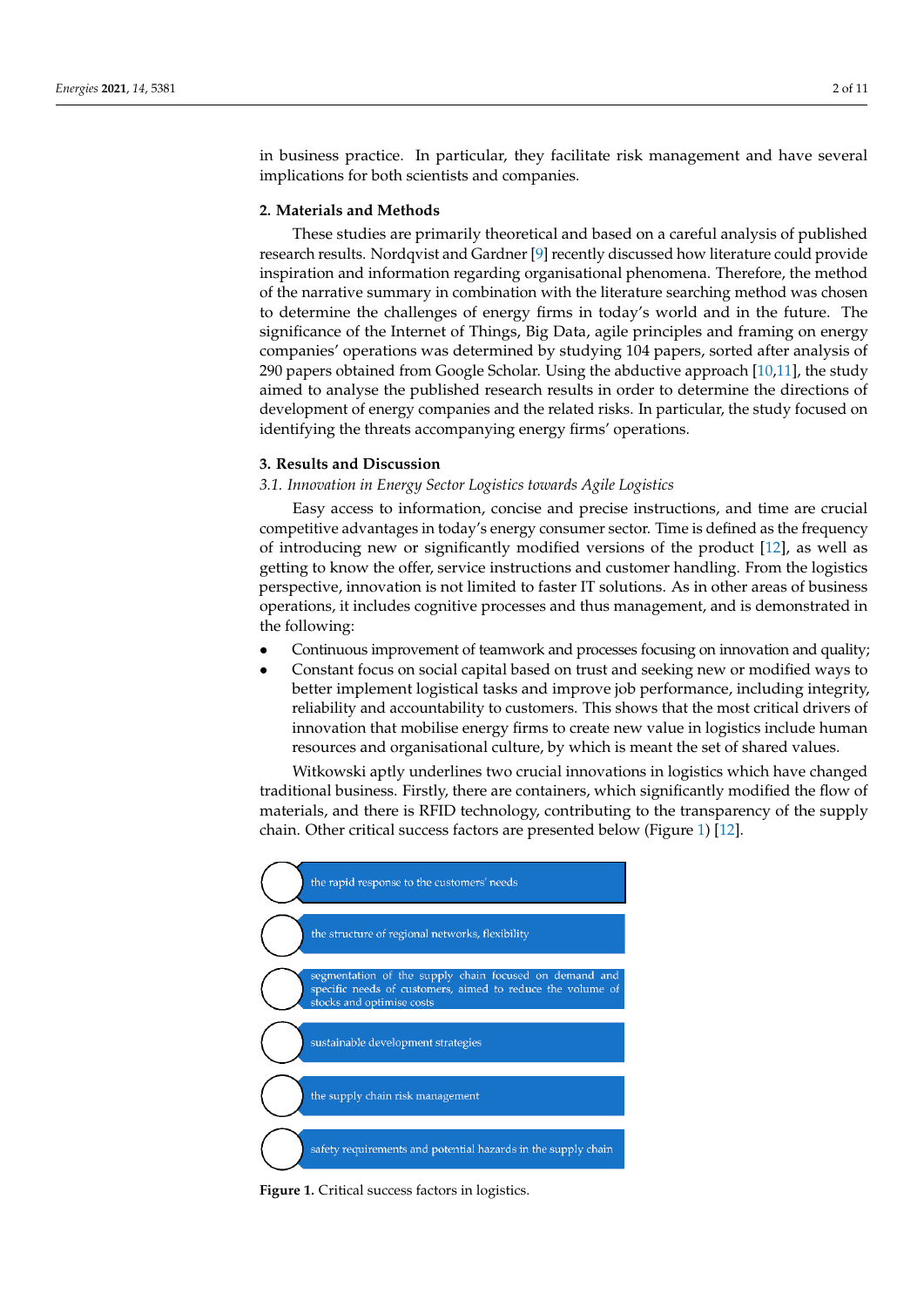in business practice. In particular, they facilitate risk management and have several implications for both scientists and companies.

#### **2. Materials and Methods**

These studies are primarily theoretical and based on a careful analysis of published research results. Nordqvist and Gardner [\[9\]](#page-7-5) recently discussed how literature could provide inspiration and information regarding organisational phenomena. Therefore, the method of the narrative summary in combination with the literature searching method was chosen to determine the challenges of energy firms in today's world and in the future. The significance of the Internet of Things, Big Data, agile principles and framing on energy companies' operations was determined by studying 104 papers, sorted after analysis of 290 papers obtained from Google Scholar. Using the abductive approach  $[10,11]$  $[10,11]$ , the study aimed to analyse the published research results in order to determine the directions of development of energy companies and the related risks. In particular, the study focused on identifying the threats accompanying energy firms' operations.

## **3. Results and Discussion**

### *3.1. Innovation in Energy Sector Logistics towards Agile Logistics*

Easy access to information, concise and precise instructions, and time are crucial competitive advantages in today's energy consumer sector. Time is defined as the frequency of introducing new or significantly modified versions of the product [\[12\]](#page-7-8), as well as getting to know the offer, service instructions and customer handling. From the logistics perspective, innovation is not limited to faster IT solutions. As in other areas of business operations, it includes cognitive processes and thus management, and is demonstrated in the following:

- Continuous improvement of teamwork and processes focusing on innovation and quality;
- Constant focus on social capital based on trust and seeking new or modified ways to better implement logistical tasks and improve job performance, including integrity, reliability and accountability to customers. This shows that the most critical drivers of innovation that mobilise energy firms to create new value in logistics include human resources and organisational culture, by which is meant the set of shared values.

Witkowski aptly underlines two crucial innovations in logistics which have changed traditional business. Firstly, there are containers, which significantly modified the flow of materials, and there is RFID technology, contributing to the transparency of the supply chain. Other critical success factors are presented below (Figure [1\)](#page-1-0) [\[12\]](#page-7-8).

<span id="page-1-0"></span>

**Figure 1.** Critical success factors in logistics. **Figure 1.** Critical success factors in logistics.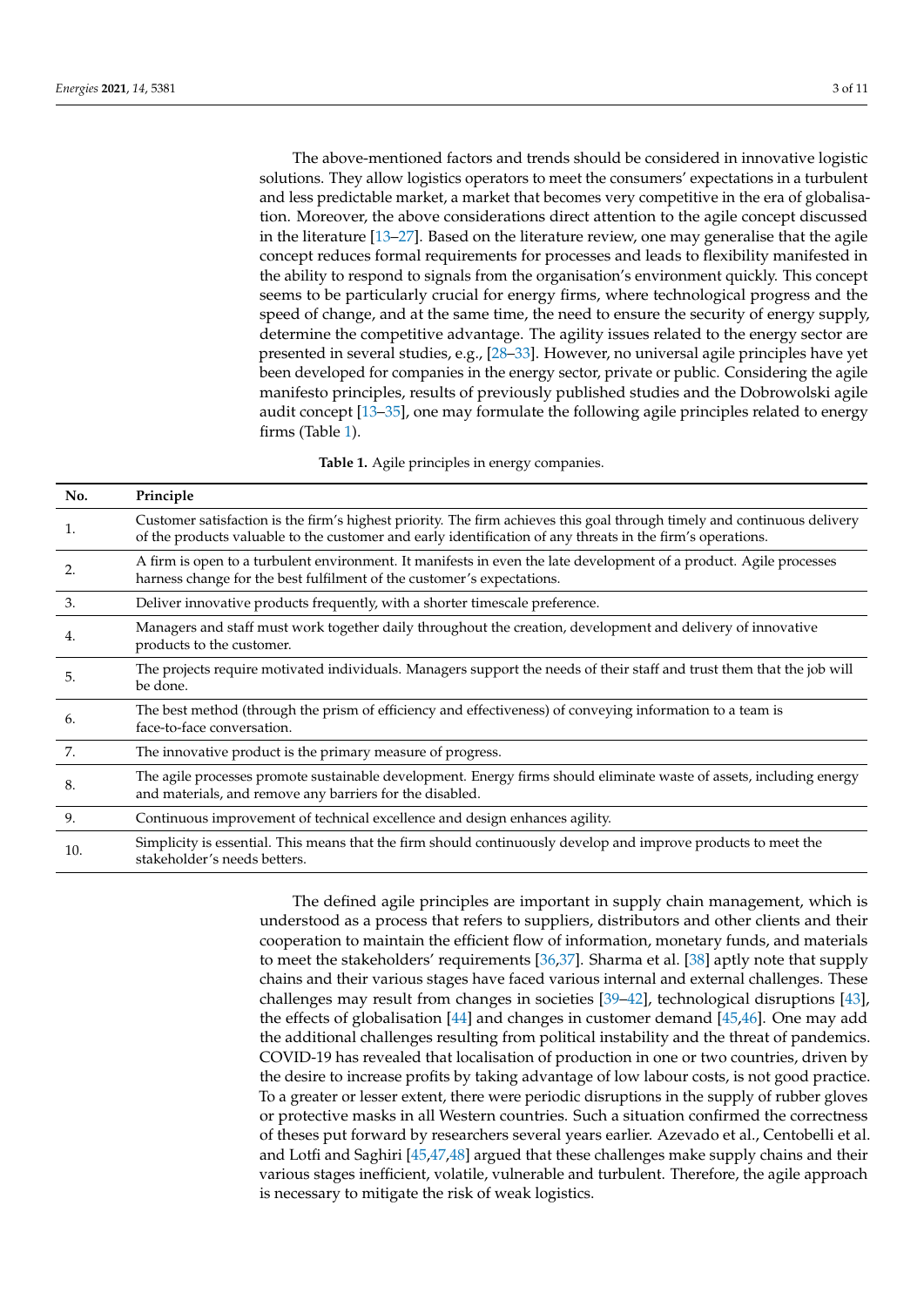The above-mentioned factors and trends should be considered in innovative logistic solutions. They allow logistics operators to meet the consumers' expectations in a turbulent and less predictable market, a market that becomes very competitive in the era of globalisation. Moreover, the above considerations direct attention to the agile concept discussed in the literature [\[13–](#page-8-0)[27\]](#page-8-1). Based on the literature review, one may generalise that the agile concept reduces formal requirements for processes and leads to flexibility manifested in the ability to respond to signals from the organisation's environment quickly. This concept seems to be particularly crucial for energy firms, where technological progress and the speed of change, and at the same time, the need to ensure the security of energy supply, determine the competitive advantage. The agility issues related to the energy sector are presented in several studies, e.g., [\[28–](#page-8-2)[33\]](#page-8-3). However, no universal agile principles have yet been developed for companies in the energy sector, private or public. Considering the agile manifesto principles, results of previously published studies and the Dobrowolski agile audit concept [\[13](#page-8-0)[–35\]](#page-8-4), one may formulate the following agile principles related to energy firms (Table [1\)](#page-2-0).

**Table 1.** Agile principles in energy companies.

<span id="page-2-0"></span>

| No. | Principle                                                                                                                                                                                                                              |
|-----|----------------------------------------------------------------------------------------------------------------------------------------------------------------------------------------------------------------------------------------|
| 1.  | Customer satisfaction is the firm's highest priority. The firm achieves this goal through timely and continuous delivery<br>of the products valuable to the customer and early identification of any threats in the firm's operations. |
| 2.  | A firm is open to a turbulent environment. It manifests in even the late development of a product. Agile processes<br>harness change for the best fulfilment of the customer's expectations.                                           |
| 3.  | Deliver innovative products frequently, with a shorter timescale preference.                                                                                                                                                           |
| 4.  | Managers and staff must work together daily throughout the creation, development and delivery of innovative<br>products to the customer.                                                                                               |
| 5.  | The projects require motivated individuals. Managers support the needs of their staff and trust them that the job will<br>be done.                                                                                                     |
| 6.  | The best method (through the prism of efficiency and effectiveness) of conveying information to a team is<br>face-to-face conversation.                                                                                                |
| 7.  | The innovative product is the primary measure of progress.                                                                                                                                                                             |
| 8.  | The agile processes promote sustainable development. Energy firms should eliminate waste of assets, including energy<br>and materials, and remove any barriers for the disabled.                                                       |
| 9.  | Continuous improvement of technical excellence and design enhances agility.                                                                                                                                                            |
| 10. | Simplicity is essential. This means that the firm should continuously develop and improve products to meet the<br>stakeholder's needs betters.                                                                                         |

The defined agile principles are important in supply chain management, which is understood as a process that refers to suppliers, distributors and other clients and their cooperation to maintain the efficient flow of information, monetary funds, and materials to meet the stakeholders' requirements [\[36,](#page-8-5)[37\]](#page-8-6). Sharma et al. [\[38\]](#page-8-7) aptly note that supply chains and their various stages have faced various internal and external challenges. These challenges may result from changes in societies [\[39](#page-8-8)[–42\]](#page-8-9), technological disruptions [\[43\]](#page-9-0), the effects of globalisation [\[44\]](#page-9-1) and changes in customer demand [\[45](#page-9-2)[,46\]](#page-9-3). One may add the additional challenges resulting from political instability and the threat of pandemics. COVID-19 has revealed that localisation of production in one or two countries, driven by the desire to increase profits by taking advantage of low labour costs, is not good practice. To a greater or lesser extent, there were periodic disruptions in the supply of rubber gloves or protective masks in all Western countries. Such a situation confirmed the correctness of theses put forward by researchers several years earlier. Azevado et al., Centobelli et al. and Lotfi and Saghiri [\[45](#page-9-2)[,47](#page-9-4)[,48\]](#page-9-5) argued that these challenges make supply chains and their various stages inefficient, volatile, vulnerable and turbulent. Therefore, the agile approach is necessary to mitigate the risk of weak logistics.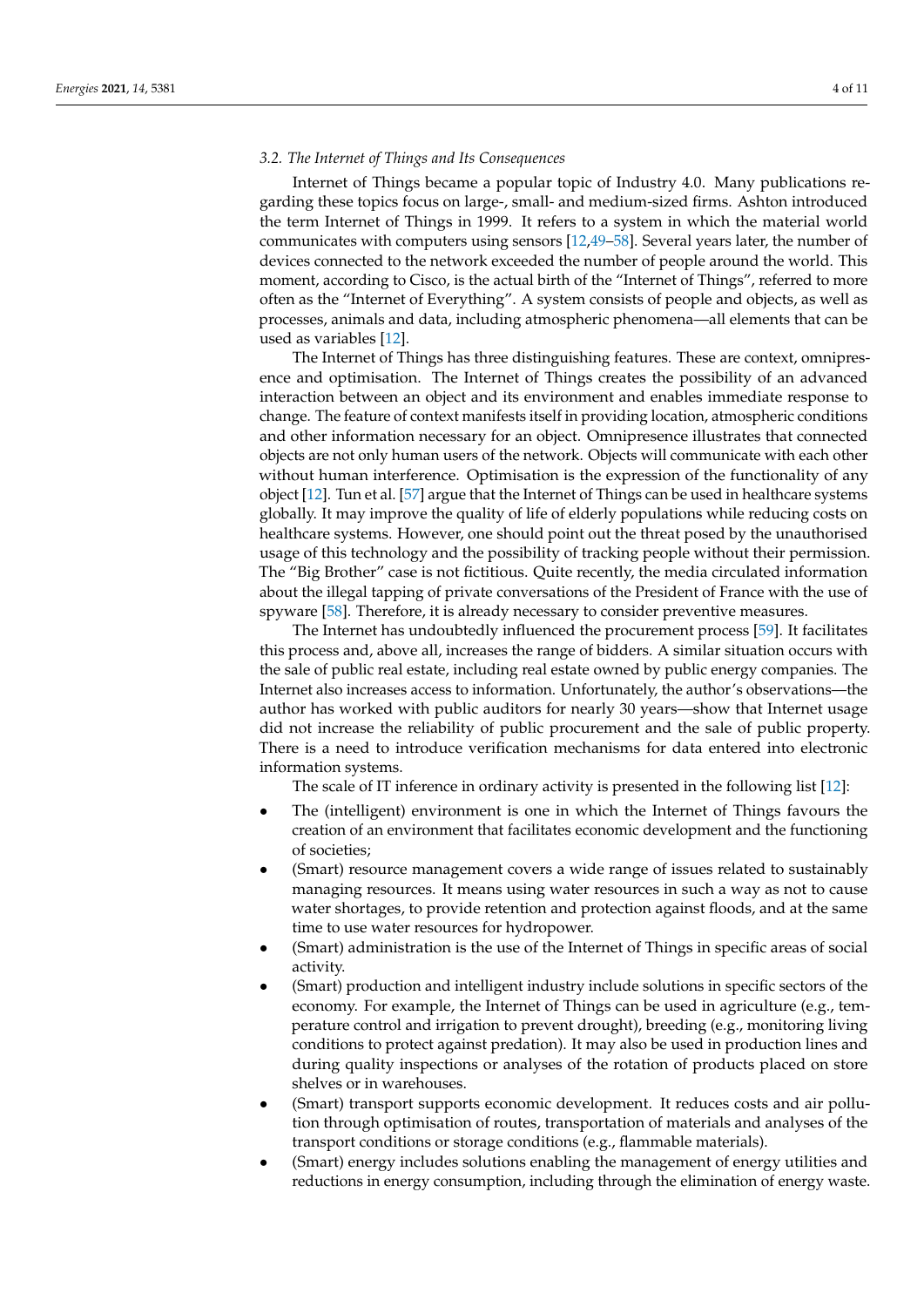#### *3.2. The Internet of Things and Its Consequences*

Internet of Things became a popular topic of Industry 4.0. Many publications regarding these topics focus on large-, small- and medium-sized firms. Ashton introduced the term Internet of Things in 1999. It refers to a system in which the material world communicates with computers using sensors [\[12,](#page-7-8)[49–](#page-9-6)[58\]](#page-9-7). Several years later, the number of devices connected to the network exceeded the number of people around the world. This moment, according to Cisco, is the actual birth of the "Internet of Things", referred to more often as the "Internet of Everything". A system consists of people and objects, as well as processes, animals and data, including atmospheric phenomena—all elements that can be used as variables [\[12\]](#page-7-8).

The Internet of Things has three distinguishing features. These are context, omnipresence and optimisation. The Internet of Things creates the possibility of an advanced interaction between an object and its environment and enables immediate response to change. The feature of context manifests itself in providing location, atmospheric conditions and other information necessary for an object. Omnipresence illustrates that connected objects are not only human users of the network. Objects will communicate with each other without human interference. Optimisation is the expression of the functionality of any object [\[12\]](#page-7-8). Tun et al. [\[57\]](#page-9-8) argue that the Internet of Things can be used in healthcare systems globally. It may improve the quality of life of elderly populations while reducing costs on healthcare systems. However, one should point out the threat posed by the unauthorised usage of this technology and the possibility of tracking people without their permission. The "Big Brother" case is not fictitious. Quite recently, the media circulated information about the illegal tapping of private conversations of the President of France with the use of spyware [\[58\]](#page-9-7). Therefore, it is already necessary to consider preventive measures.

The Internet has undoubtedly influenced the procurement process [\[59\]](#page-9-9). It facilitates this process and, above all, increases the range of bidders. A similar situation occurs with the sale of public real estate, including real estate owned by public energy companies. The Internet also increases access to information. Unfortunately, the author's observations—the author has worked with public auditors for nearly 30 years—show that Internet usage did not increase the reliability of public procurement and the sale of public property. There is a need to introduce verification mechanisms for data entered into electronic information systems.

The scale of IT inference in ordinary activity is presented in the following list [\[12\]](#page-7-8):

- The (intelligent) environment is one in which the Internet of Things favours the creation of an environment that facilitates economic development and the functioning of societies;
- (Smart) resource management covers a wide range of issues related to sustainably managing resources. It means using water resources in such a way as not to cause water shortages, to provide retention and protection against floods, and at the same time to use water resources for hydropower.
- (Smart) administration is the use of the Internet of Things in specific areas of social activity.
- (Smart) production and intelligent industry include solutions in specific sectors of the economy. For example, the Internet of Things can be used in agriculture (e.g., temperature control and irrigation to prevent drought), breeding (e.g., monitoring living conditions to protect against predation). It may also be used in production lines and during quality inspections or analyses of the rotation of products placed on store shelves or in warehouses.
- (Smart) transport supports economic development. It reduces costs and air pollution through optimisation of routes, transportation of materials and analyses of the transport conditions or storage conditions (e.g., flammable materials).
- (Smart) energy includes solutions enabling the management of energy utilities and reductions in energy consumption, including through the elimination of energy waste.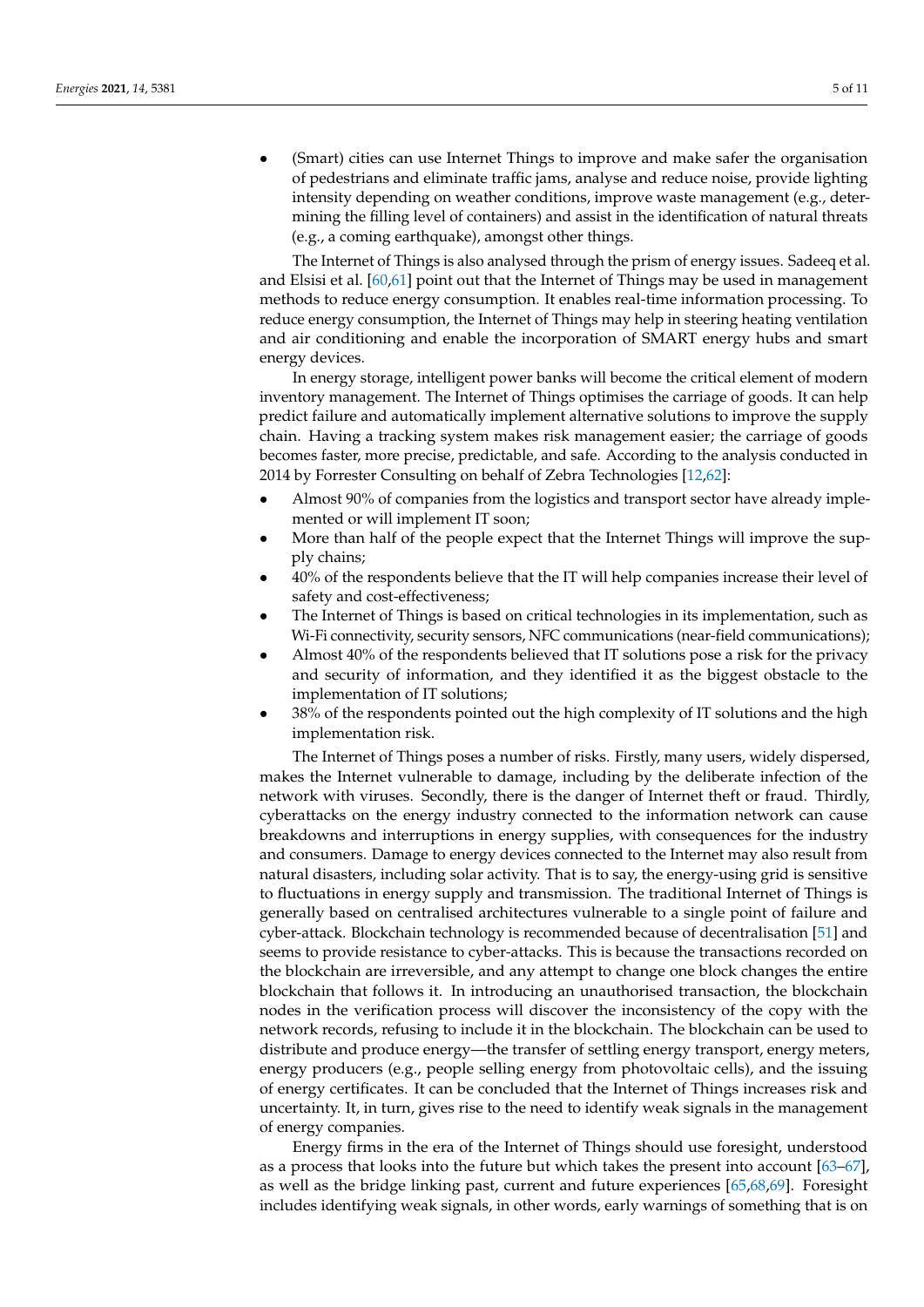• (Smart) cities can use Internet Things to improve and make safer the organisation of pedestrians and eliminate traffic jams, analyse and reduce noise, provide lighting intensity depending on weather conditions, improve waste management (e.g., determining the filling level of containers) and assist in the identification of natural threats (e.g., a coming earthquake), amongst other things.

The Internet of Things is also analysed through the prism of energy issues. Sadeeq et al. and Elsisi et al. [\[60](#page-9-10)[,61\]](#page-9-11) point out that the Internet of Things may be used in management methods to reduce energy consumption. It enables real-time information processing. To reduce energy consumption, the Internet of Things may help in steering heating ventilation and air conditioning and enable the incorporation of SMART energy hubs and smart energy devices.

In energy storage, intelligent power banks will become the critical element of modern inventory management. The Internet of Things optimises the carriage of goods. It can help predict failure and automatically implement alternative solutions to improve the supply chain. Having a tracking system makes risk management easier; the carriage of goods becomes faster, more precise, predictable, and safe. According to the analysis conducted in 2014 by Forrester Consulting on behalf of Zebra Technologies [\[12](#page-7-8)[,62\]](#page-9-12):

- Almost 90% of companies from the logistics and transport sector have already implemented or will implement IT soon;
- More than half of the people expect that the Internet Things will improve the supply chains;
- 40% of the respondents believe that the IT will help companies increase their level of safety and cost-effectiveness;
- The Internet of Things is based on critical technologies in its implementation, such as Wi-Fi connectivity, security sensors, NFC communications (near-field communications);
- Almost 40% of the respondents believed that IT solutions pose a risk for the privacy and security of information, and they identified it as the biggest obstacle to the implementation of IT solutions;
- 38% of the respondents pointed out the high complexity of IT solutions and the high implementation risk.

The Internet of Things poses a number of risks. Firstly, many users, widely dispersed, makes the Internet vulnerable to damage, including by the deliberate infection of the network with viruses. Secondly, there is the danger of Internet theft or fraud. Thirdly, cyberattacks on the energy industry connected to the information network can cause breakdowns and interruptions in energy supplies, with consequences for the industry and consumers. Damage to energy devices connected to the Internet may also result from natural disasters, including solar activity. That is to say, the energy-using grid is sensitive to fluctuations in energy supply and transmission. The traditional Internet of Things is generally based on centralised architectures vulnerable to a single point of failure and cyber-attack. Blockchain technology is recommended because of decentralisation [\[51\]](#page-9-13) and seems to provide resistance to cyber-attacks. This is because the transactions recorded on the blockchain are irreversible, and any attempt to change one block changes the entire blockchain that follows it. In introducing an unauthorised transaction, the blockchain nodes in the verification process will discover the inconsistency of the copy with the network records, refusing to include it in the blockchain. The blockchain can be used to distribute and produce energy—the transfer of settling energy transport, energy meters, energy producers (e.g., people selling energy from photovoltaic cells), and the issuing of energy certificates. It can be concluded that the Internet of Things increases risk and uncertainty. It, in turn, gives rise to the need to identify weak signals in the management of energy companies.

Energy firms in the era of the Internet of Things should use foresight, understood as a process that looks into the future but which takes the present into account [\[63–](#page-9-14)[67\]](#page-9-15), as well as the bridge linking past, current and future experiences [\[65,](#page-9-16)[68,](#page-9-17)[69\]](#page-9-18). Foresight includes identifying weak signals, in other words, early warnings of something that is on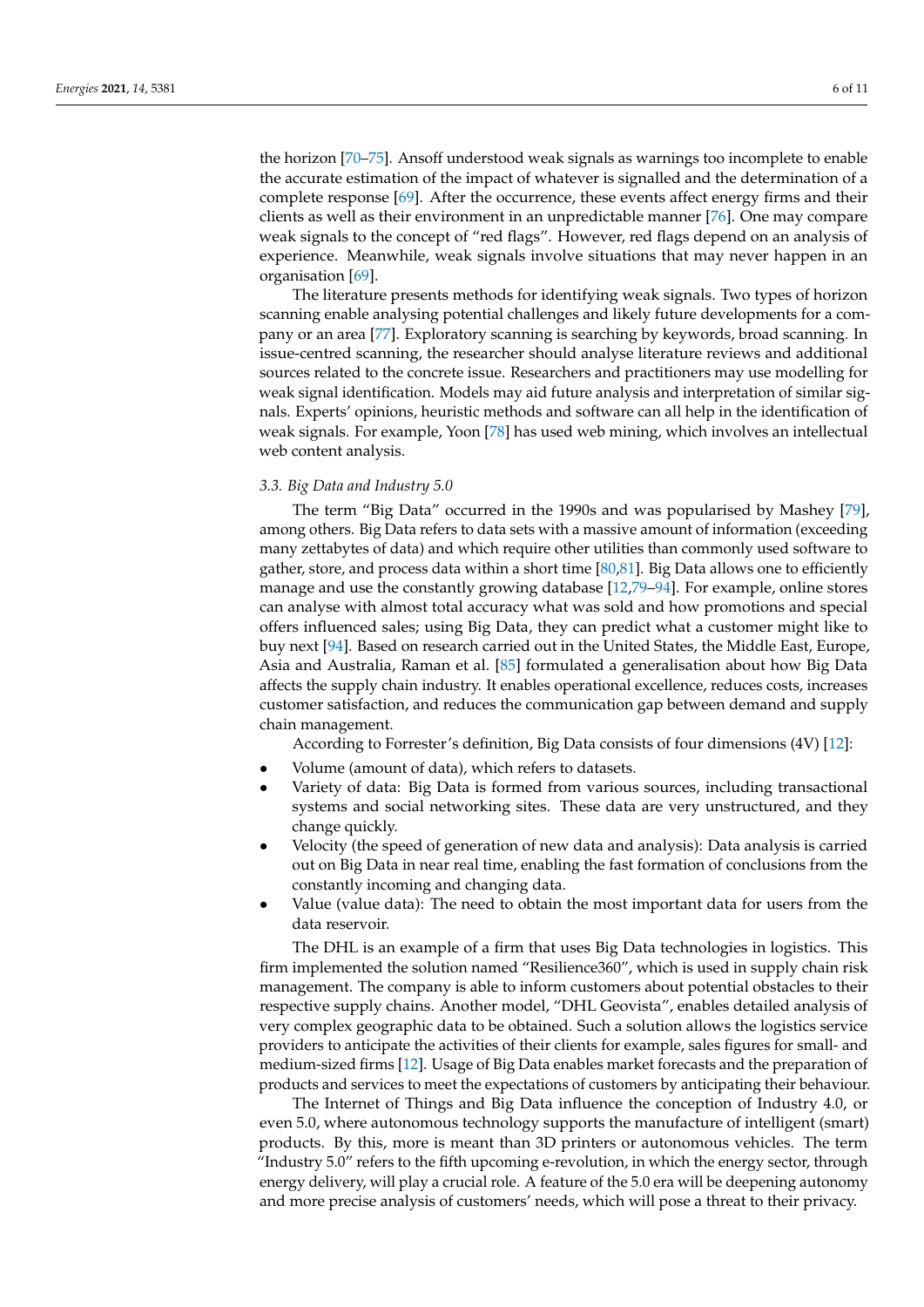the horizon [\[70–](#page-9-19)[75\]](#page-10-0). Ansoff understood weak signals as warnings too incomplete to enable the accurate estimation of the impact of whatever is signalled and the determination of a complete response [\[69\]](#page-9-18). After the occurrence, these events affect energy firms and their clients as well as their environment in an unpredictable manner [\[76\]](#page-10-1). One may compare weak signals to the concept of "red flags". However, red flags depend on an analysis of experience. Meanwhile, weak signals involve situations that may never happen in an organisation [\[69\]](#page-9-18).

The literature presents methods for identifying weak signals. Two types of horizon scanning enable analysing potential challenges and likely future developments for a company or an area [\[77\]](#page-10-2). Exploratory scanning is searching by keywords, broad scanning. In issue-centred scanning, the researcher should analyse literature reviews and additional sources related to the concrete issue. Researchers and practitioners may use modelling for weak signal identification. Models may aid future analysis and interpretation of similar signals. Experts' opinions, heuristic methods and software can all help in the identification of weak signals. For example, Yoon [\[78\]](#page-10-3) has used web mining, which involves an intellectual web content analysis.

#### *3.3. Big Data and Industry 5.0*

The term "Big Data" occurred in the 1990s and was popularised by Mashey [\[79\]](#page-10-4), among others. Big Data refers to data sets with a massive amount of information (exceeding many zettabytes of data) and which require other utilities than commonly used software to gather, store, and process data within a short time  $[80,81]$  $[80,81]$ . Big Data allows one to efficiently manage and use the constantly growing database [\[12,](#page-7-8)[79](#page-10-4)[–94\]](#page-10-7). For example, online stores can analyse with almost total accuracy what was sold and how promotions and special offers influenced sales; using Big Data, they can predict what a customer might like to buy next [\[94\]](#page-10-7). Based on research carried out in the United States, the Middle East, Europe, Asia and Australia, Raman et al. [\[85\]](#page-10-8) formulated a generalisation about how Big Data affects the supply chain industry. It enables operational excellence, reduces costs, increases customer satisfaction, and reduces the communication gap between demand and supply chain management.

According to Forrester's definition, Big Data consists of four dimensions (4V) [\[12\]](#page-7-8):

- Volume (amount of data), which refers to datasets.
- Variety of data: Big Data is formed from various sources, including transactional systems and social networking sites. These data are very unstructured, and they change quickly.
- Velocity (the speed of generation of new data and analysis): Data analysis is carried out on Big Data in near real time, enabling the fast formation of conclusions from the constantly incoming and changing data.
- Value (value data): The need to obtain the most important data for users from the data reservoir.

The DHL is an example of a firm that uses Big Data technologies in logistics. This firm implemented the solution named "Resilience360", which is used in supply chain risk management. The company is able to inform customers about potential obstacles to their respective supply chains. Another model, "DHL Geovista", enables detailed analysis of very complex geographic data to be obtained. Such a solution allows the logistics service providers to anticipate the activities of their clients for example, sales figures for small- and medium-sized firms [\[12\]](#page-7-8). Usage of Big Data enables market forecasts and the preparation of products and services to meet the expectations of customers by anticipating their behaviour.

The Internet of Things and Big Data influence the conception of Industry 4.0, or even 5.0, where autonomous technology supports the manufacture of intelligent (smart) products. By this, more is meant than 3D printers or autonomous vehicles. The term "Industry 5.0" refers to the fifth upcoming e-revolution, in which the energy sector, through energy delivery, will play a crucial role. A feature of the 5.0 era will be deepening autonomy and more precise analysis of customers' needs, which will pose a threat to their privacy.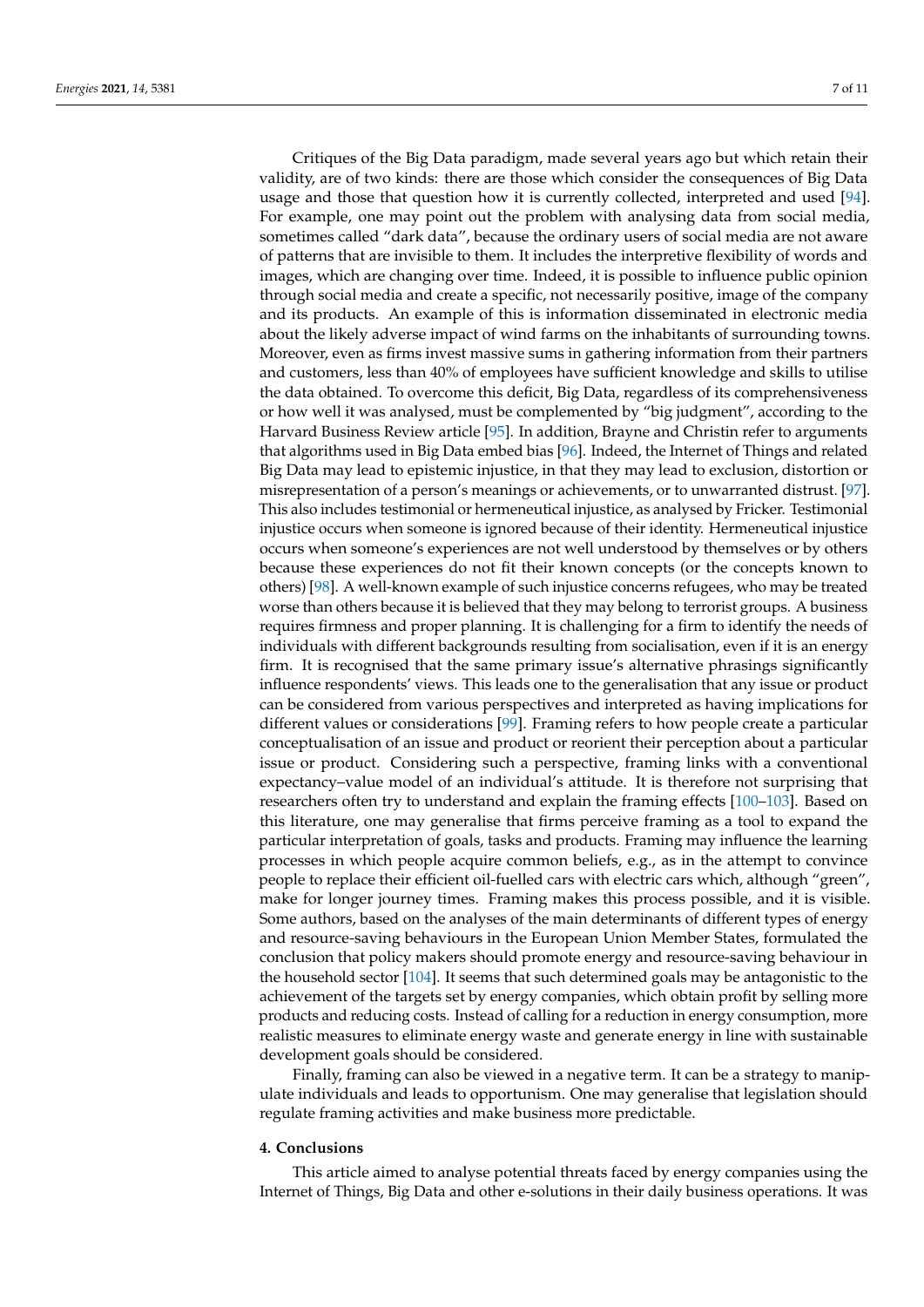Critiques of the Big Data paradigm, made several years ago but which retain their validity, are of two kinds: there are those which consider the consequences of Big Data usage and those that question how it is currently collected, interpreted and used [\[94\]](#page-10-7). For example, one may point out the problem with analysing data from social media, sometimes called "dark data", because the ordinary users of social media are not aware of patterns that are invisible to them. It includes the interpretive flexibility of words and images, which are changing over time. Indeed, it is possible to influence public opinion through social media and create a specific, not necessarily positive, image of the company and its products. An example of this is information disseminated in electronic media about the likely adverse impact of wind farms on the inhabitants of surrounding towns. Moreover, even as firms invest massive sums in gathering information from their partners and customers, less than 40% of employees have sufficient knowledge and skills to utilise the data obtained. To overcome this deficit, Big Data, regardless of its comprehensiveness or how well it was analysed, must be complemented by "big judgment", according to the Harvard Business Review article [\[95\]](#page-10-9). In addition, Brayne and Christin refer to arguments that algorithms used in Big Data embed bias [\[96\]](#page-10-10). Indeed, the Internet of Things and related Big Data may lead to epistemic injustice, in that they may lead to exclusion, distortion or misrepresentation of a person's meanings or achievements, or to unwarranted distrust. [\[97\]](#page-10-11). This also includes testimonial or hermeneutical injustice, as analysed by Fricker. Testimonial injustice occurs when someone is ignored because of their identity. Hermeneutical injustice occurs when someone's experiences are not well understood by themselves or by others because these experiences do not fit their known concepts (or the concepts known to others) [\[98\]](#page-10-12). A well-known example of such injustice concerns refugees, who may be treated worse than others because it is believed that they may belong to terrorist groups. A business requires firmness and proper planning. It is challenging for a firm to identify the needs of individuals with different backgrounds resulting from socialisation, even if it is an energy firm. It is recognised that the same primary issue's alternative phrasings significantly influence respondents' views. This leads one to the generalisation that any issue or product can be considered from various perspectives and interpreted as having implications for different values or considerations [\[99\]](#page-10-13). Framing refers to how people create a particular conceptualisation of an issue and product or reorient their perception about a particular issue or product. Considering such a perspective, framing links with a conventional expectancy–value model of an individual's attitude. It is therefore not surprising that researchers often try to understand and explain the framing effects [\[100–](#page-10-14)[103\]](#page-10-15). Based on this literature, one may generalise that firms perceive framing as a tool to expand the particular interpretation of goals, tasks and products. Framing may influence the learning processes in which people acquire common beliefs, e.g., as in the attempt to convince people to replace their efficient oil-fuelled cars with electric cars which, although "green", make for longer journey times. Framing makes this process possible, and it is visible. Some authors, based on the analyses of the main determinants of different types of energy and resource-saving behaviours in the European Union Member States, formulated the conclusion that policy makers should promote energy and resource-saving behaviour in the household sector [\[104\]](#page-10-16). It seems that such determined goals may be antagonistic to the achievement of the targets set by energy companies, which obtain profit by selling more products and reducing costs. Instead of calling for a reduction in energy consumption, more realistic measures to eliminate energy waste and generate energy in line with sustainable development goals should be considered.

Finally, framing can also be viewed in a negative term. It can be a strategy to manipulate individuals and leads to opportunism. One may generalise that legislation should regulate framing activities and make business more predictable.

#### **4. Conclusions**

This article aimed to analyse potential threats faced by energy companies using the Internet of Things, Big Data and other e-solutions in their daily business operations. It was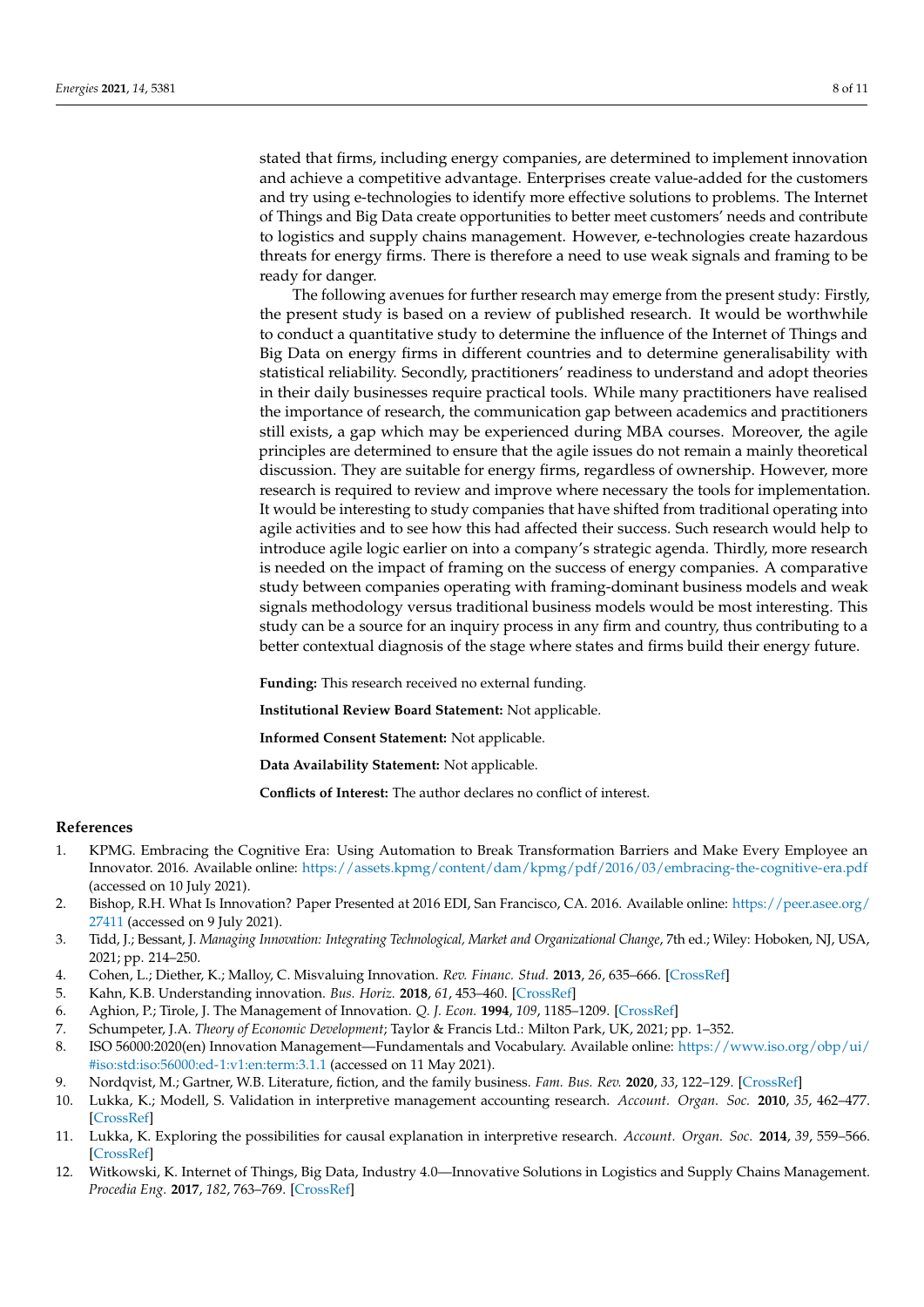stated that firms, including energy companies, are determined to implement innovation and achieve a competitive advantage. Enterprises create value-added for the customers and try using e-technologies to identify more effective solutions to problems. The Internet of Things and Big Data create opportunities to better meet customers' needs and contribute to logistics and supply chains management. However, e-technologies create hazardous threats for energy firms. There is therefore a need to use weak signals and framing to be ready for danger.

The following avenues for further research may emerge from the present study: Firstly, the present study is based on a review of published research. It would be worthwhile to conduct a quantitative study to determine the influence of the Internet of Things and Big Data on energy firms in different countries and to determine generalisability with statistical reliability. Secondly, practitioners' readiness to understand and adopt theories in their daily businesses require practical tools. While many practitioners have realised the importance of research, the communication gap between academics and practitioners still exists, a gap which may be experienced during MBA courses. Moreover, the agile principles are determined to ensure that the agile issues do not remain a mainly theoretical discussion. They are suitable for energy firms, regardless of ownership. However, more research is required to review and improve where necessary the tools for implementation. It would be interesting to study companies that have shifted from traditional operating into agile activities and to see how this had affected their success. Such research would help to introduce agile logic earlier on into a company's strategic agenda. Thirdly, more research is needed on the impact of framing on the success of energy companies. A comparative study between companies operating with framing-dominant business models and weak signals methodology versus traditional business models would be most interesting. This study can be a source for an inquiry process in any firm and country, thus contributing to a better contextual diagnosis of the stage where states and firms build their energy future.

**Funding:** This research received no external funding.

**Institutional Review Board Statement:** Not applicable.

**Informed Consent Statement:** Not applicable.

**Data Availability Statement:** Not applicable.

**Conflicts of Interest:** The author declares no conflict of interest.

#### **References**

- <span id="page-7-0"></span>1. KPMG. Embracing the Cognitive Era: Using Automation to Break Transformation Barriers and Make Every Employee an Innovator. 2016. Available online: <https://assets.kpmg/content/dam/kpmg/pdf/2016/03/embracing-the-cognitive-era.pdf> (accessed on 10 July 2021).
- <span id="page-7-1"></span>2. Bishop, R.H. What Is Innovation? Paper Presented at 2016 EDI, San Francisco, CA. 2016. Available online: [https://peer.asee.org/](https://peer.asee.org/27411) [27411](https://peer.asee.org/27411) (accessed on 9 July 2021).
- 3. Tidd, J.; Bessant, J. *Managing Innovation: Integrating Technological, Market and Organizational Change*, 7th ed.; Wiley: Hoboken, NJ, USA, 2021; pp. 214–250.
- 4. Cohen, L.; Diether, K.; Malloy, C. Misvaluing Innovation. *Rev. Financ. Stud.* **2013**, *26*, 635–666. [\[CrossRef\]](http://doi.org/10.1093/rfs/hhs183)
- 5. Kahn, K.B. Understanding innovation. *Bus. Horiz.* **2018**, *61*, 453–460. [\[CrossRef\]](http://doi.org/10.1016/j.bushor.2018.01.011)
- <span id="page-7-2"></span>6. Aghion, P.; Tirole, J. The Management of Innovation. *Q. J. Econ.* **1994**, *109*, 1185–1209. [\[CrossRef\]](http://doi.org/10.2307/2118360)
- <span id="page-7-3"></span>7. Schumpeter, J.A. *Theory of Economic Development*; Taylor & Francis Ltd.: Milton Park, UK, 2021; pp. 1–352.
- <span id="page-7-4"></span>8. ISO 56000:2020(en) Innovation Management—Fundamentals and Vocabulary. Available online: [https://www.iso.org/obp/ui/](https://www.iso.org/obp/ui/#iso:std:iso:56000:ed-1:v1:en:term:3.1.1) [#iso:std:iso:56000:ed-1:v1:en:term:3.1.1](https://www.iso.org/obp/ui/#iso:std:iso:56000:ed-1:v1:en:term:3.1.1) (accessed on 11 May 2021).
- <span id="page-7-5"></span>9. Nordqvist, M.; Gartner, W.B. Literature, fiction, and the family business. *Fam. Bus. Rev.* **2020**, *33*, 122–129. [\[CrossRef\]](http://doi.org/10.1177/0894486520924856)
- <span id="page-7-6"></span>10. Lukka, K.; Modell, S. Validation in interpretive management accounting research. *Account. Organ. Soc.* **2010**, *35*, 462–477. [\[CrossRef\]](http://doi.org/10.1016/j.aos.2009.10.004)
- <span id="page-7-7"></span>11. Lukka, K. Exploring the possibilities for causal explanation in interpretive research. *Account. Organ. Soc.* **2014**, *39*, 559–566. [\[CrossRef\]](http://doi.org/10.1016/j.aos.2014.06.002)
- <span id="page-7-8"></span>12. Witkowski, K. Internet of Things, Big Data, Industry 4.0—Innovative Solutions in Logistics and Supply Chains Management. *Procedia Eng.* **2017**, *182*, 763–769. [\[CrossRef\]](http://doi.org/10.1016/j.proeng.2017.03.197)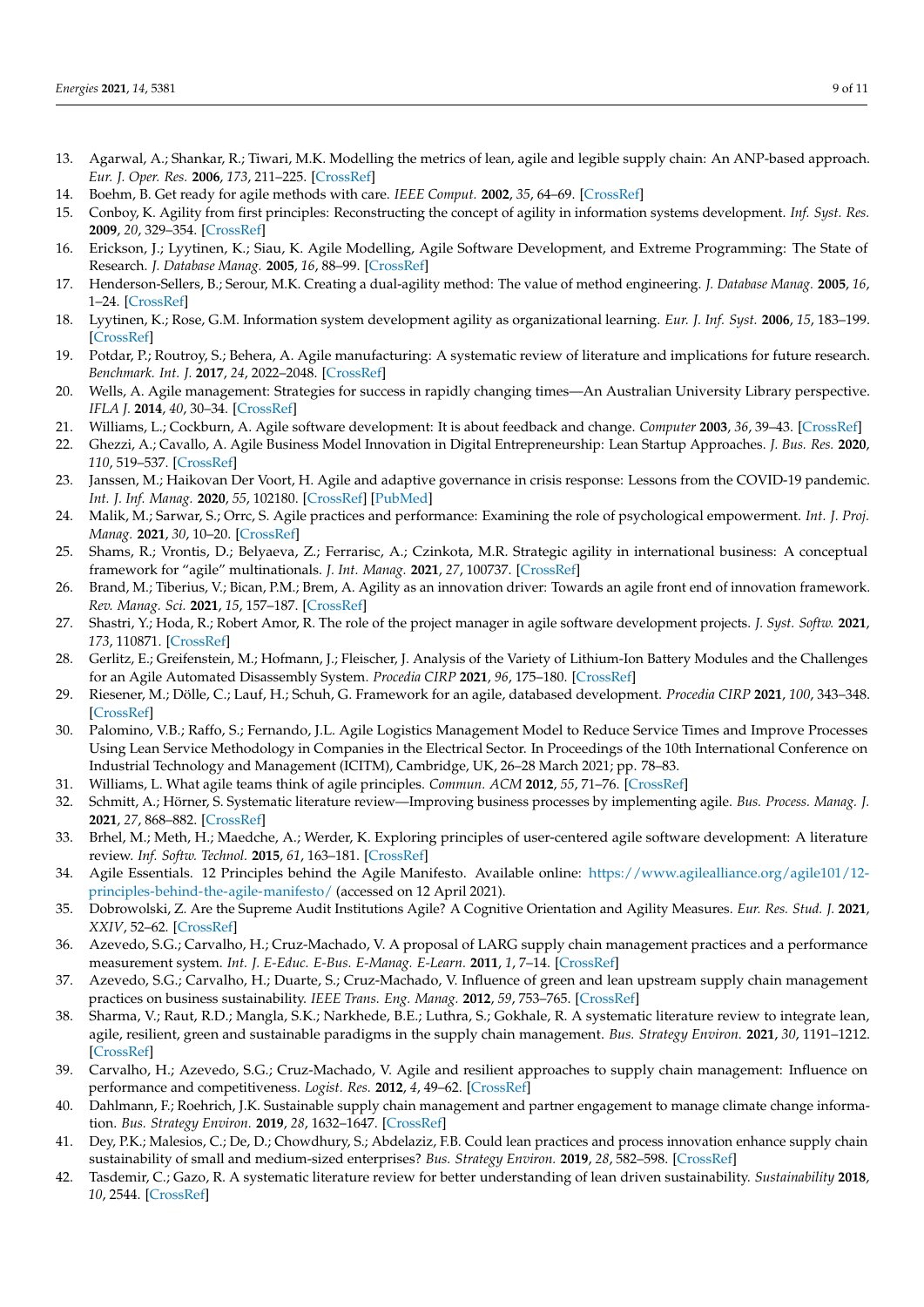- <span id="page-8-0"></span>13. Agarwal, A.; Shankar, R.; Tiwari, M.K. Modelling the metrics of lean, agile and legible supply chain: An ANP-based approach. *Eur. J. Oper. Res.* **2006**, *173*, 211–225. [\[CrossRef\]](http://doi.org/10.1016/j.ejor.2004.12.005)
- 14. Boehm, B. Get ready for agile methods with care. *IEEE Comput.* **2002**, *35*, 64–69. [\[CrossRef\]](http://doi.org/10.1109/2.976920)
- 15. Conboy, K. Agility from first principles: Reconstructing the concept of agility in information systems development. *Inf. Syst. Res.* **2009**, *20*, 329–354. [\[CrossRef\]](http://doi.org/10.1287/isre.1090.0236)
- 16. Erickson, J.; Lyytinen, K.; Siau, K. Agile Modelling, Agile Software Development, and Extreme Programming: The State of Research. *J. Database Manag.* **2005**, *16*, 88–99. [\[CrossRef\]](http://doi.org/10.4018/jdm.2005100105)
- 17. Henderson-Sellers, B.; Serour, M.K. Creating a dual-agility method: The value of method engineering. *J. Database Manag.* **2005**, *16*, 1–24. [\[CrossRef\]](http://doi.org/10.4018/jdm.2005100101)
- 18. Lyytinen, K.; Rose, G.M. Information system development agility as organizational learning. *Eur. J. Inf. Syst.* **2006**, *15*, 183–199. [\[CrossRef\]](http://doi.org/10.1057/palgrave.ejis.3000604)
- 19. Potdar, P.; Routroy, S.; Behera, A. Agile manufacturing: A systematic review of literature and implications for future research. *Benchmark. Int. J.* **2017**, *24*, 2022–2048. [\[CrossRef\]](http://doi.org/10.1108/BIJ-06-2016-0100)
- 20. Wells, A. Agile management: Strategies for success in rapidly changing times—An Australian University Library perspective. *IFLA J.* **2014**, *40*, 30–34. [\[CrossRef\]](http://doi.org/10.1177/0340035214526539)
- 21. Williams, L.; Cockburn, A. Agile software development: It is about feedback and change. *Computer* **2003**, *36*, 39–43. [\[CrossRef\]](http://doi.org/10.1109/MC.2003.1204373)
- 22. Ghezzi, A.; Cavallo, A. Agile Business Model Innovation in Digital Entrepreneurship: Lean Startup Approaches. *J. Bus. Res.* **2020**, *110*, 519–537. [\[CrossRef\]](http://doi.org/10.1016/j.jbusres.2018.06.013)
- 23. Janssen, M.; Haikovan Der Voort, H. Agile and adaptive governance in crisis response: Lessons from the COVID-19 pandemic. *Int. J. Inf. Manag.* **2020**, *55*, 102180. [\[CrossRef\]](http://doi.org/10.1016/j.ijinfomgt.2020.102180) [\[PubMed\]](http://www.ncbi.nlm.nih.gov/pubmed/32836637)
- 24. Malik, M.; Sarwar, S.; Orrc, S. Agile practices and performance: Examining the role of psychological empowerment. *Int. J. Proj. Manag.* **2021**, *30*, 10–20. [\[CrossRef\]](http://doi.org/10.1016/j.ijproman.2020.09.002)
- 25. Shams, R.; Vrontis, D.; Belyaeva, Z.; Ferrarisc, A.; Czinkota, M.R. Strategic agility in international business: A conceptual framework for "agile" multinationals. *J. Int. Manag.* **2021**, *27*, 100737. [\[CrossRef\]](http://doi.org/10.1016/j.intman.2020.100737)
- 26. Brand, M.; Tiberius, V.; Bican, P.M.; Brem, A. Agility as an innovation driver: Towards an agile front end of innovation framework. *Rev. Manag. Sci.* **2021**, *15*, 157–187. [\[CrossRef\]](http://doi.org/10.1007/s11846-019-00373-0)
- <span id="page-8-1"></span>27. Shastri, Y.; Hoda, R.; Robert Amor, R. The role of the project manager in agile software development projects. *J. Syst. Softw.* **2021**, *173*, 110871. [\[CrossRef\]](http://doi.org/10.1016/j.jss.2020.110871)
- <span id="page-8-2"></span>28. Gerlitz, E.; Greifenstein, M.; Hofmann, J.; Fleischer, J. Analysis of the Variety of Lithium-Ion Battery Modules and the Challenges for an Agile Automated Disassembly System. *Procedia CIRP* **2021**, *96*, 175–180. [\[CrossRef\]](http://doi.org/10.1016/j.procir.2021.01.071)
- 29. Riesener, M.; Dölle, C.; Lauf, H.; Schuh, G. Framework for an agile, databased development. *Procedia CIRP* **2021**, *100*, 343–348. [\[CrossRef\]](http://doi.org/10.1016/j.procir.2021.05.084)
- 30. Palomino, V.B.; Raffo, S.; Fernando, J.L. Agile Logistics Management Model to Reduce Service Times and Improve Processes Using Lean Service Methodology in Companies in the Electrical Sector. In Proceedings of the 10th International Conference on Industrial Technology and Management (ICITM), Cambridge, UK, 26–28 March 2021; pp. 78–83.
- 31. Williams, L. What agile teams think of agile principles. *Commun. ACM* **2012**, *55*, 71–76. [\[CrossRef\]](http://doi.org/10.1145/2133806.2133823)
- 32. Schmitt, A.; Hörner, S. Systematic literature review—Improving business processes by implementing agile. *Bus. Process. Manag. J.* **2021**, *27*, 868–882. [\[CrossRef\]](http://doi.org/10.1108/BPMJ-10-2019-0422)
- <span id="page-8-3"></span>33. Brhel, M.; Meth, H.; Maedche, A.; Werder, K. Exploring principles of user-centered agile software development: A literature review. *Inf. Softw. Technol.* **2015**, *61*, 163–181. [\[CrossRef\]](http://doi.org/10.1016/j.infsof.2015.01.004)
- 34. Agile Essentials. 12 Principles behind the Agile Manifesto. Available online: [https://www.agilealliance.org/agile101/12](https://www.agilealliance.org/agile101/12-principles-behind-the-agile-manifesto/) [principles-behind-the-agile-manifesto/](https://www.agilealliance.org/agile101/12-principles-behind-the-agile-manifesto/) (accessed on 12 April 2021).
- <span id="page-8-4"></span>35. Dobrowolski, Z. Are the Supreme Audit Institutions Agile? A Cognitive Orientation and Agility Measures. *Eur. Res. Stud. J.* **2021**, *XXIV*, 52–62. [\[CrossRef\]](http://doi.org/10.35808/ersj/1949)
- <span id="page-8-5"></span>36. Azevedo, S.G.; Carvalho, H.; Cruz-Machado, V. A proposal of LARG supply chain management practices and a performance measurement system. *Int. J. E-Educ. E-Bus. E-Manag. E-Learn.* **2011**, *1*, 7–14. [\[CrossRef\]](http://doi.org/10.7763/IJEEEE.2011.V1.2)
- <span id="page-8-6"></span>37. Azevedo, S.G.; Carvalho, H.; Duarte, S.; Cruz-Machado, V. Influence of green and lean upstream supply chain management practices on business sustainability. *IEEE Trans. Eng. Manag.* **2012**, *59*, 753–765. [\[CrossRef\]](http://doi.org/10.1109/TEM.2012.2189108)
- <span id="page-8-7"></span>38. Sharma, V.; Raut, R.D.; Mangla, S.K.; Narkhede, B.E.; Luthra, S.; Gokhale, R. A systematic literature review to integrate lean, agile, resilient, green and sustainable paradigms in the supply chain management. *Bus. Strategy Environ.* **2021**, *30*, 1191–1212. [\[CrossRef\]](http://doi.org/10.1002/bse.2679)
- <span id="page-8-8"></span>39. Carvalho, H.; Azevedo, S.G.; Cruz-Machado, V. Agile and resilient approaches to supply chain management: Influence on performance and competitiveness. *Logist. Res.* **2012**, *4*, 49–62. [\[CrossRef\]](http://doi.org/10.1007/s12159-012-0064-2)
- 40. Dahlmann, F.; Roehrich, J.K. Sustainable supply chain management and partner engagement to manage climate change information. *Bus. Strategy Environ.* **2019**, *28*, 1632–1647. [\[CrossRef\]](http://doi.org/10.1002/bse.2392)
- 41. Dey, P.K.; Malesios, C.; De, D.; Chowdhury, S.; Abdelaziz, F.B. Could lean practices and process innovation enhance supply chain sustainability of small and medium-sized enterprises? *Bus. Strategy Environ.* **2019**, *28*, 582–598. [\[CrossRef\]](http://doi.org/10.1002/bse.2266)
- <span id="page-8-9"></span>42. Tasdemir, C.; Gazo, R. A systematic literature review for better understanding of lean driven sustainability. *Sustainability* **2018**, *10*, 2544. [\[CrossRef\]](http://doi.org/10.3390/su10072544)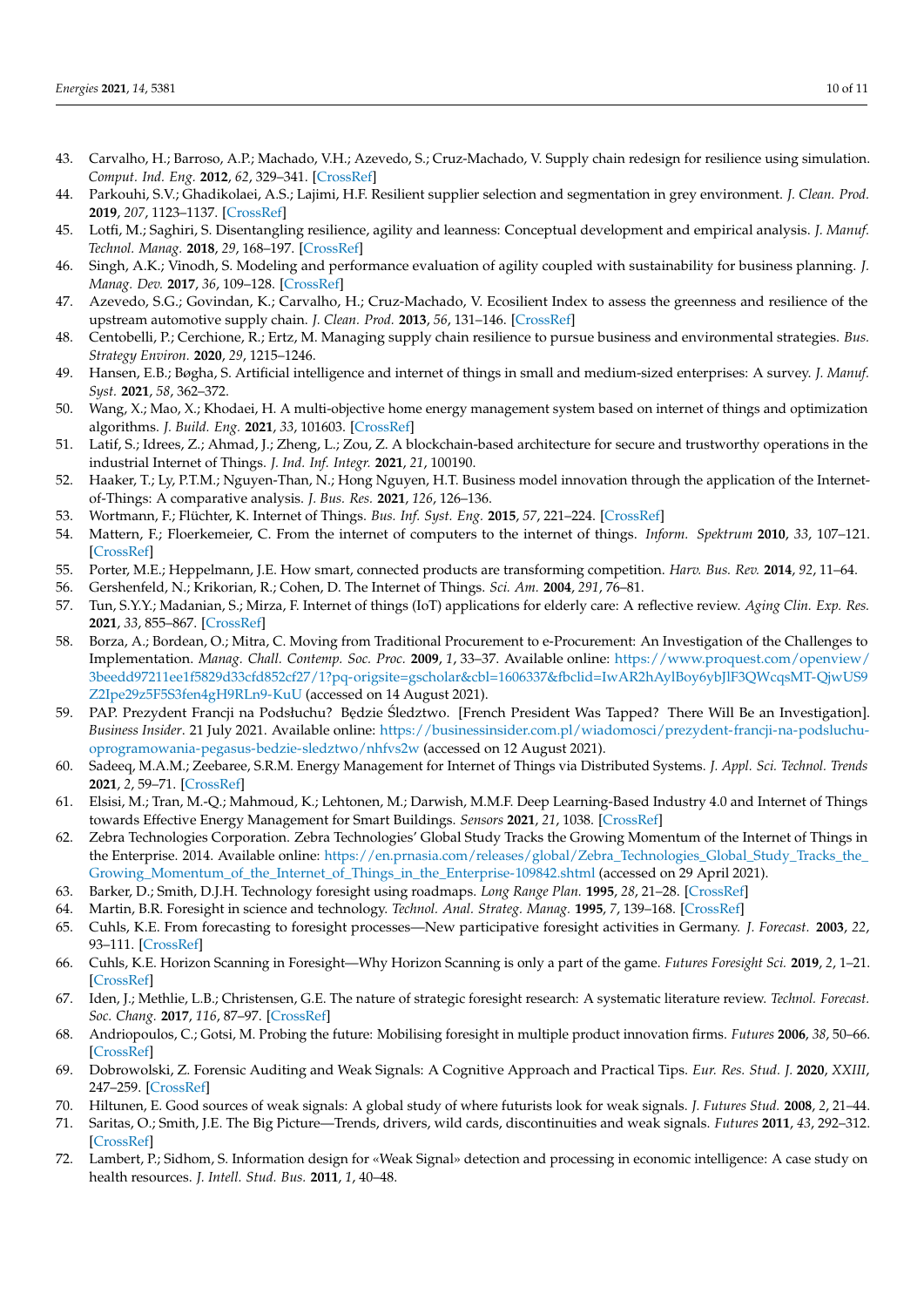- <span id="page-9-0"></span>43. Carvalho, H.; Barroso, A.P.; Machado, V.H.; Azevedo, S.; Cruz-Machado, V. Supply chain redesign for resilience using simulation. *Comput. Ind. Eng.* **2012**, *62*, 329–341. [\[CrossRef\]](http://doi.org/10.1016/j.cie.2011.10.003)
- <span id="page-9-1"></span>44. Parkouhi, S.V.; Ghadikolaei, A.S.; Lajimi, H.F. Resilient supplier selection and segmentation in grey environment. *J. Clean. Prod.* **2019**, *207*, 1123–1137. [\[CrossRef\]](http://doi.org/10.1016/j.jclepro.2018.10.007)
- <span id="page-9-2"></span>45. Lotfi, M.; Saghiri, S. Disentangling resilience, agility and leanness: Conceptual development and empirical analysis. *J. Manuf. Technol. Manag.* **2018**, *29*, 168–197. [\[CrossRef\]](http://doi.org/10.1108/JMTM-01-2017-0014)
- <span id="page-9-3"></span>46. Singh, A.K.; Vinodh, S. Modeling and performance evaluation of agility coupled with sustainability for business planning. *J. Manag. Dev.* **2017**, *36*, 109–128. [\[CrossRef\]](http://doi.org/10.1108/JMD-10-2014-0140)
- <span id="page-9-4"></span>47. Azevedo, S.G.; Govindan, K.; Carvalho, H.; Cruz-Machado, V. Ecosilient Index to assess the greenness and resilience of the upstream automotive supply chain. *J. Clean. Prod.* **2013**, *56*, 131–146. [\[CrossRef\]](http://doi.org/10.1016/j.jclepro.2012.04.011)
- <span id="page-9-5"></span>48. Centobelli, P.; Cerchione, R.; Ertz, M. Managing supply chain resilience to pursue business and environmental strategies. *Bus. Strategy Environ.* **2020**, *29*, 1215–1246.
- <span id="page-9-6"></span>49. Hansen, E.B.; Bøgha, S. Artificial intelligence and internet of things in small and medium-sized enterprises: A survey. *J. Manuf. Syst.* **2021**, *58*, 362–372.
- 50. Wang, X.; Mao, X.; Khodaei, H. A multi-objective home energy management system based on internet of things and optimization algorithms. *J. Build. Eng.* **2021**, *33*, 101603. [\[CrossRef\]](http://doi.org/10.1016/j.jobe.2020.101603)
- <span id="page-9-13"></span>51. Latif, S.; Idrees, Z.; Ahmad, J.; Zheng, L.; Zou, Z. A blockchain-based architecture for secure and trustworthy operations in the industrial Internet of Things. *J. Ind. Inf. Integr.* **2021**, *21*, 100190.
- 52. Haaker, T.; Ly, P.T.M.; Nguyen-Than, N.; Hong Nguyen, H.T. Business model innovation through the application of the Internetof-Things: A comparative analysis. *J. Bus. Res.* **2021**, *126*, 126–136.
- 53. Wortmann, F.; Flüchter, K. Internet of Things. *Bus. Inf. Syst. Eng.* **2015**, *57*, 221–224. [\[CrossRef\]](http://doi.org/10.1007/s12599-015-0383-3)
- 54. Mattern, F.; Floerkemeier, C. From the internet of computers to the internet of things. *Inform. Spektrum* **2010**, *33*, 107–121. [\[CrossRef\]](http://doi.org/10.1007/s00287-010-0417-7)
- 55. Porter, M.E.; Heppelmann, J.E. How smart, connected products are transforming competition. *Harv. Bus. Rev.* **2014**, *92*, 11–64.
- 56. Gershenfeld, N.; Krikorian, R.; Cohen, D. The Internet of Things. *Sci. Am.* **2004**, *291*, 76–81.
- <span id="page-9-8"></span>57. Tun, S.Y.Y.; Madanian, S.; Mirza, F. Internet of things (IoT) applications for elderly care: A reflective review. *Aging Clin. Exp. Res.* **2021**, *33*, 855–867. [\[CrossRef\]](http://doi.org/10.1007/s40520-020-01545-9)
- <span id="page-9-7"></span>58. Borza, A.; Bordean, O.; Mitra, C. Moving from Traditional Procurement to e-Procurement: An Investigation of the Challenges to Implementation. *Manag. Chall. Contemp. Soc. Proc.* **2009**, *1*, 33–37. Available online: [https://www.proquest.com/openview/](https://www.proquest.com/openview/3beedd97211ee1f5829d33cfd852cf27/1?pq-origsite=gscholar&cbl=1606337&fbclid=IwAR2hAylBoy6ybJlF3QWcqsMT-QjwUS9Z2Ipe29z5F5S3fen4gH9RLn9-KuU) [3beedd97211ee1f5829d33cfd852cf27/1?pq-origsite=gscholar&cbl=1606337&fbclid=IwAR2hAylBoy6ybJlF3QWcqsMT-QjwUS9](https://www.proquest.com/openview/3beedd97211ee1f5829d33cfd852cf27/1?pq-origsite=gscholar&cbl=1606337&fbclid=IwAR2hAylBoy6ybJlF3QWcqsMT-QjwUS9Z2Ipe29z5F5S3fen4gH9RLn9-KuU) [Z2Ipe29z5F5S3fen4gH9RLn9-KuU](https://www.proquest.com/openview/3beedd97211ee1f5829d33cfd852cf27/1?pq-origsite=gscholar&cbl=1606337&fbclid=IwAR2hAylBoy6ybJlF3QWcqsMT-QjwUS9Z2Ipe29z5F5S3fen4gH9RLn9-KuU) (accessed on 14 August 2021).
- <span id="page-9-9"></span>59. PAP. Prezydent Francji na Podsłuchu? Będzie Śledztwo. [French President Was Tapped? There Will Be an Investigation]. *Business Insider*. 21 July 2021. Available online: [https://businessinsider.com.pl/wiadomosci/prezydent-francji-na-podsluchu](https://businessinsider.com.pl/wiadomosci/prezydent-francji-na-podsluchu-oprogramowania-pegasus-bedzie-sledztwo/nhfvs2w)[oprogramowania-pegasus-bedzie-sledztwo/nhfvs2w](https://businessinsider.com.pl/wiadomosci/prezydent-francji-na-podsluchu-oprogramowania-pegasus-bedzie-sledztwo/nhfvs2w) (accessed on 12 August 2021).
- <span id="page-9-10"></span>60. Sadeeq, M.A.M.; Zeebaree, S.R.M. Energy Management for Internet of Things via Distributed Systems. *J. Appl. Sci. Technol. Trends* **2021**, *2*, 59–71. [\[CrossRef\]](http://doi.org/10.38094/jastt20285)
- <span id="page-9-11"></span>61. Elsisi, M.; Tran, M.-Q.; Mahmoud, K.; Lehtonen, M.; Darwish, M.M.F. Deep Learning-Based Industry 4.0 and Internet of Things towards Effective Energy Management for Smart Buildings. *Sensors* **2021**, *21*, 1038. [\[CrossRef\]](http://doi.org/10.3390/s21041038)
- <span id="page-9-12"></span>62. Zebra Technologies Corporation. Zebra Technologies' Global Study Tracks the Growing Momentum of the Internet of Things in the Enterprise. 2014. Available online: [https://en.prnasia.com/releases/global/Zebra\\_Technologies\\_Global\\_Study\\_Tracks\\_the\\_](https://en.prnasia.com/releases/global/Zebra_Technologies_Global_Study_Tracks_the_Growing_Momentum_of_the_Internet_of_Things_in_the_Enterprise-109842.shtml) [Growing\\_Momentum\\_of\\_the\\_Internet\\_of\\_Things\\_in\\_the\\_Enterprise-109842.shtml](https://en.prnasia.com/releases/global/Zebra_Technologies_Global_Study_Tracks_the_Growing_Momentum_of_the_Internet_of_Things_in_the_Enterprise-109842.shtml) (accessed on 29 April 2021).
- <span id="page-9-14"></span>63. Barker, D.; Smith, D.J.H. Technology foresight using roadmaps. *Long Range Plan.* **1995**, *28*, 21–28. [\[CrossRef\]](http://doi.org/10.1016/0024-6301(95)98586-H)
- 64. Martin, B.R. Foresight in science and technology. *Technol. Anal. Strateg. Manag.* **1995**, *7*, 139–168. [\[CrossRef\]](http://doi.org/10.1080/09537329508524202)
- <span id="page-9-16"></span>65. Cuhls, K.E. From forecasting to foresight processes—New participative foresight activities in Germany. *J. Forecast.* **2003**, *22*, 93–111. [\[CrossRef\]](http://doi.org/10.1002/for.848)
- 66. Cuhls, K.E. Horizon Scanning in Foresight—Why Horizon Scanning is only a part of the game. *Futures Foresight Sci.* **2019**, *2*, 1–21. [\[CrossRef\]](http://doi.org/10.1002/ffo2.23)
- <span id="page-9-15"></span>67. Iden, J.; Methlie, L.B.; Christensen, G.E. The nature of strategic foresight research: A systematic literature review. *Technol. Forecast. Soc. Chang.* **2017**, *116*, 87–97. [\[CrossRef\]](http://doi.org/10.1016/j.techfore.2016.11.002)
- <span id="page-9-17"></span>68. Andriopoulos, C.; Gotsi, M. Probing the future: Mobilising foresight in multiple product innovation firms. *Futures* **2006**, *38*, 50–66. [\[CrossRef\]](http://doi.org/10.1016/j.futures.2005.04.003)
- <span id="page-9-18"></span>69. Dobrowolski, Z. Forensic Auditing and Weak Signals: A Cognitive Approach and Practical Tips. *Eur. Res. Stud. J.* **2020**, *XXIII*, 247–259. [\[CrossRef\]](http://doi.org/10.35808/ersj/1821)
- <span id="page-9-19"></span>70. Hiltunen, E. Good sources of weak signals: A global study of where futurists look for weak signals. *J. Futures Stud.* **2008**, *2*, 21–44.
- 71. Saritas, O.; Smith, J.E. The Big Picture—Trends, drivers, wild cards, discontinuities and weak signals. *Futures* **2011**, *43*, 292–312. [\[CrossRef\]](http://doi.org/10.1016/j.futures.2010.11.007)
- 72. Lambert, P.; Sidhom, S. Information design for «Weak Signal» detection and processing in economic intelligence: A case study on health resources. *J. Intell. Stud. Bus.* **2011**, *1*, 40–48.